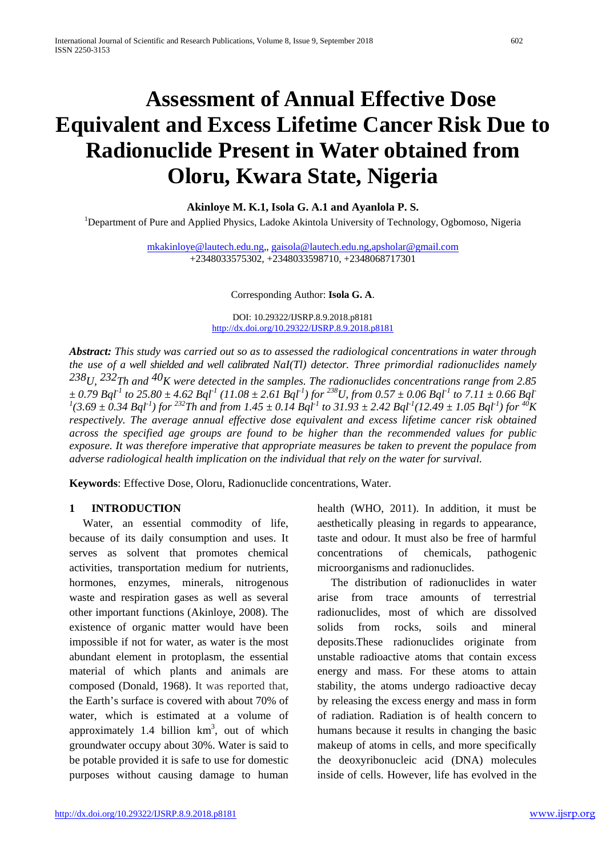# **Assessment of Annual Effective Dose Equivalent and Excess Lifetime Cancer Risk Due to Radionuclide Present in Water obtained from Oloru, Kwara State, Nigeria**

**Akinloye M. K.1, Isola G. A.1 and Ayanlola P. S.**

<sup>1</sup>Department of Pure and Applied Physics, Ladoke Akintola University of Technology, Ogbomoso, Nigeria

[mkakinloye@lautech.edu.ng,,](mailto:mkakinloye@lautech.edu.ng) [gaisola@lautech.edu.ng,](mailto:gaisola@lautech.edu.ng)[apsholar@gmail.com](mailto:apsholar@gmail.com) +2348033575302, +2348033598710, +2348068717301

Corresponding Author: **Isola G. A**.

DOI: 10.29322/IJSRP.8.9.2018.p8181 <http://dx.doi.org/10.29322/IJSRP.8.9.2018.p8181>

*Abstract: This study was carried out so as to assessed the radiological concentrations in water through the use of a well shielded and well calibrated NaI(Tl) detector. Three primordial radionuclides namely 238U, 232Th and 40K were detected in the samples. The radionuclides concentrations range from 2.85*   $\pm$  0.79 Bql<sup>-1</sup> to 25.80  $\pm$  4.62 Bql<sup>-1</sup> (11.08  $\pm$  2.61 Bql<sup>-1</sup>) for <sup>238</sup>U, from 0.57  $\pm$  0.06 Bql<sup>-1</sup> to 7.11  $\pm$  0.66 Bql<sup>-1</sup> (3.69  $\pm$  0.34 Bql<sup>-1</sup>) for <sup>232</sup>Th and from 1.45  $\pm$  0.14 Bql<sup>-1</sup> to 31.93  $\pm$  2 *respectively. The average annual effective dose equivalent and excess lifetime cancer risk obtained across the specified age groups are found to be higher than the recommended values for public exposure. It was therefore imperative that appropriate measures be taken to prevent the populace from adverse radiological health implication on the individual that rely on the water for survival.*

**Keywords**: Effective Dose, Oloru, Radionuclide concentrations, Water.

# **1 INTRODUCTION**

Water, an essential commodity of life, because of its daily consumption and uses. It serves as solvent that promotes chemical activities, transportation medium for nutrients, hormones, enzymes, minerals, nitrogenous waste and respiration gases as well as several other important functions (Akinloye, 2008). The existence of organic matter would have been impossible if not for water, as water is the most abundant element in protoplasm, the essential material of which plants and animals are composed (Donald, 1968). It was reported that, the Earth's surface is covered with about 70% of water, which is estimated at a volume of approximately 1.4 billion  $km<sup>3</sup>$ , out of which groundwater occupy about 30%. Water is said to be potable provided it is safe to use for domestic purposes without causing damage to human

health (WHO, 2011). In addition, it must be aesthetically pleasing in regards to appearance, taste and odour. It must also be free of harmful concentrations of chemicals, pathogenic microorganisms and radionuclides.

The distribution of radionuclides in water arise from trace amounts of terrestrial radionuclides, most of which are dissolved solids from rocks, soils and mineral deposits.These radionuclides originate from unstable radioactive atoms that contain excess energy and mass. For these atoms to attain stability, the atoms undergo radioactive decay by releasing the excess energy and mass in form of radiation. Radiation is of health concern to humans because it results in changing the basic makeup of atoms in cells, and more specifically the deoxyribonucleic acid (DNA) molecules inside of cells. However, life has evolved in the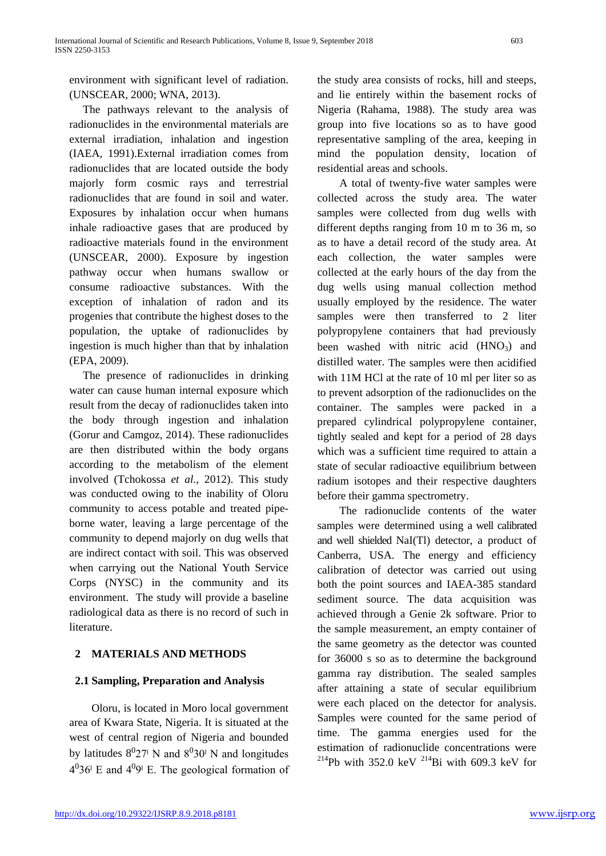environment with significant level of radiation. (UNSCEAR, 2000; WNA, 2013).

The pathways relevant to the analysis of radionuclides in the environmental materials are external irradiation, inhalation and ingestion (IAEA, 1991).External irradiation comes from radionuclides that are located outside the body majorly form cosmic rays and terrestrial radionuclides that are found in soil and water. Exposures by inhalation occur when humans inhale radioactive gases that are produced by radioactive materials found in the environment (UNSCEAR, 2000). Exposure by ingestion pathway occur when humans swallow or consume radioactive substances. With the exception of inhalation of radon and its progenies that contribute the highest doses to the population, the uptake of radionuclides by ingestion is much higher than that by inhalation (EPA, 2009).

The presence of radionuclides in drinking water can cause human internal exposure which result from the decay of radionuclides taken into the body through ingestion and inhalation (Gorur and Camgoz, 2014). These radionuclides are then distributed within the body organs according to the metabolism of the element involved (Tchokossa *et al*., 2012). This study was conducted owing to the inability of Oloru community to access potable and treated pipeborne water, leaving a large percentage of the community to depend majorly on dug wells that are indirect contact with soil. This was observed when carrying out the National Youth Service Corps (NYSC) in the community and its environment. The study will provide a baseline radiological data as there is no record of such in literature.

# **2 MATERIALS AND METHODS**

# **2.1 Sampling, Preparation and Analysis**

Oloru, is located in Moro local government area of Kwara State, Nigeria. It is situated at the west of central region of Nigeria and bounded by latitudes  $8^027^1$  N and  $8^030^1$  N and longitudes  $4<sup>0</sup>36<sup>1</sup>$  E and  $4<sup>0</sup>9<sup>1</sup>$  E. The geological formation of the study area consists of rocks, hill and steeps, and lie entirely within the basement rocks of Nigeria (Rahama, 1988). The study area was group into five locations so as to have good representative sampling of the area, keeping in mind the population density, location of residential areas and schools.

A total of twenty-five water samples were collected across the study area. The water samples were collected from dug wells with different depths ranging from 10 m to 36 m, so as to have a detail record of the study area. At each collection, the water samples were collected at the early hours of the day from the dug wells using manual collection method usually employed by the residence. The water samples were then transferred to 2 liter polypropylene containers that had previously been washed with nitric acid  $(HNO<sub>3</sub>)$  and distilled water. The samples were then acidified with 11M HCl at the rate of 10 ml per liter so as to prevent adsorption of the radionuclides on the container. The samples were packed in a prepared cylindrical polypropylene container, tightly sealed and kept for a period of 28 days which was a sufficient time required to attain a state of secular radioactive equilibrium between radium isotopes and their respective daughters before their gamma spectrometry.

The radionuclide contents of the water samples were determined using a well calibrated and well shielded NaI(Tl) detector, a product of Canberra, USA. The energy and efficiency calibration of detector was carried out using both the point sources and IAEA-385 standard sediment source. The data acquisition was achieved through a Genie 2k software. Prior to the sample measurement, an empty container of the same geometry as the detector was counted for 36000 s so as to determine the background gamma ray distribution. The sealed samples after attaining a state of secular equilibrium were each placed on the detector for analysis. Samples were counted for the same period of time. The gamma energies used for the estimation of radionuclide concentrations were <sup>214</sup>Pb with 352.0 keV <sup>214</sup>Bi with 609.3 keV for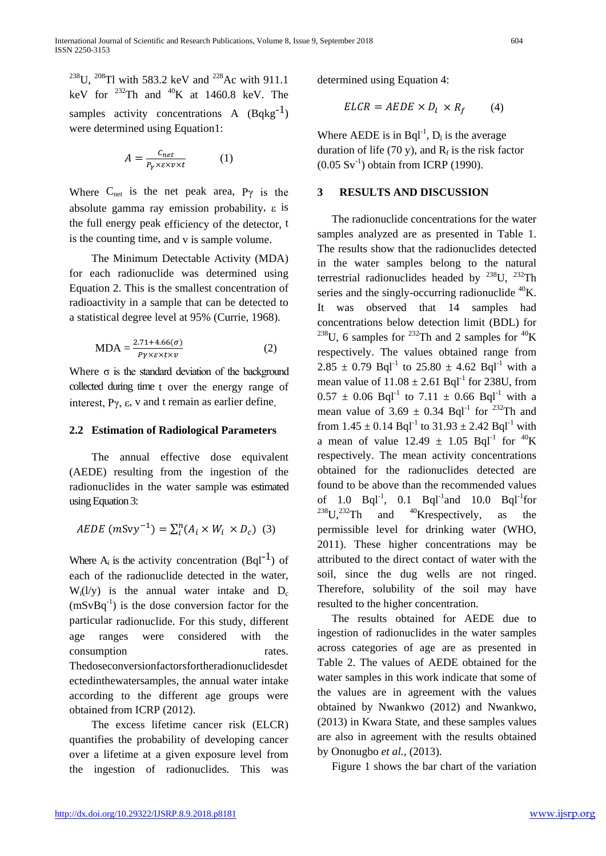<sup>238</sup>U, <sup>208</sup>Tl with 583.2 keV and <sup>228</sup>Ac with 911.1 keV for  $^{232}$ Th and  $^{40}$ K at 1460.8 keV. The samples activity concentrations A  $(Bqkg^{-1})$ were determined using Equation1:

$$
A = \frac{c_{net}}{P_Y \times \varepsilon \times \nu \times t} \tag{1}
$$

Where  $C_{net}$  is the net peak area, P $\gamma$  is the absolute gamma ray emission probability, ε is the full energy peak efficiency of the detector, t is the counting time, and v is sample volume.

The Minimum Detectable Activity (MDA) for each radionuclide was determined using Equation 2. This is the smallest concentration of radioactivity in a sample that can be detected to a statistical degree level at 95% (Currie, 1968).

$$
MDA = \frac{2.71 + 4.66(\sigma)}{p_{\gamma \times \epsilon \times t \times \nu}}
$$
 (2)

Where  $\sigma$  is the standard deviation of the background collected during time t over the energy range of interest,  $Pγ$ , ε, v and t remain as earlier define.

#### **2.2 Estimation of Radiological Parameters**

The annual effective dose equivalent (AEDE) resulting from the ingestion of the radionuclides in the water sample was estimated using Equation 3:

$$
AEDE (mSvy^{-1}) = \sum_{i}^{n} (A_i \times W_i \times D_c)
$$
 (3)

Where  $A_i$  is the activity concentration (Bql<sup>-1</sup>) of each of the radionuclide detected in the water,  $W_i(1/y)$  is the annual water intake and  $D_c$  $(mSvBq^{-1})$  is the dose conversion factor for the particular radionuclide. For this study, different age ranges were considered with the consumption rates. Thedoseconversionfactorsfortheradionuclidesdet ectedinthewatersamples, the annual water intake according to the different age groups were obtained from ICRP (2012).

The excess lifetime cancer risk (ELCR) quantifies the probability of developing cancer over a lifetime at a given exposure level from the ingestion of radionuclides. This was

determined using Equation 4:

$$
ELCR = AEDE \times D_l \times R_f \tag{4}
$$

Where AEDE is in  $Bql^{-1}$ ,  $D_l$  is the average duration of life (70 y), and  $R_f$  is the risk factor  $(0.05 \text{ Sv}^{-1})$  obtain from ICRP (1990).

#### **3 RESULTS AND DISCUSSION**

The radionuclide concentrations for the water samples analyzed are as presented in Table 1. The results show that the radionuclides detected in the water samples belong to the natural terrestrial radionuclides headed by  $^{238}$ U,  $^{232}$ Th series and the singly-occurring radionuclide  ${}^{40}$ K. It was observed that 14 samples had concentrations below detection limit (BDL) for <sup>238</sup>U, 6 samples for <sup>232</sup>Th and 2 samples for <sup>40</sup>K respectively. The values obtained range from 2.85  $\pm$  0.79 Bql<sup>-1</sup> to 25.80  $\pm$  4.62 Bql<sup>-1</sup> with a mean value of  $11.08 \pm 2.61$  Bql<sup>-1</sup> for 238U, from  $0.57 \pm 0.06$  Bql<sup>-1</sup> to  $7.11 \pm 0.66$  Bql<sup>-1</sup> with a mean value of  $3.69 \pm 0.34$  Bql<sup>-1</sup> for <sup>232</sup>Th and from  $1.45 \pm 0.14$  Bql<sup>-1</sup> to  $31.93 \pm 2.42$  Bql<sup>-1</sup> with a mean of value  $12.49 \pm 1.05$  Bql<sup>-1</sup> for <sup>40</sup>K respectively. The mean activity concentrations obtained for the radionuclides detected are found to be above than the recommended values of 1.0  $BqI^{-1}$ , 0.1  $BqI^{-1}$  and 10.0  $BqI^{-1}$  for <sup>238</sup>U,<sup>232</sup>Th and <sup>40</sup>Krespectively, as the permissible level for drinking water (WHO, 2011). These higher concentrations may be attributed to the direct contact of water with the soil, since the dug wells are not ringed. Therefore, solubility of the soil may have resulted to the higher concentration.

The results obtained for AEDE due to ingestion of radionuclides in the water samples across categories of age are as presented in Table 2. The values of AEDE obtained for the water samples in this work indicate that some of the values are in agreement with the values obtained by Nwankwo (2012) and Nwankwo, (2013) in Kwara State, and these samples values are also in agreement with the results obtained by Ononugbo *et al.,* (2013).

Figure 1 shows the bar chart of the variation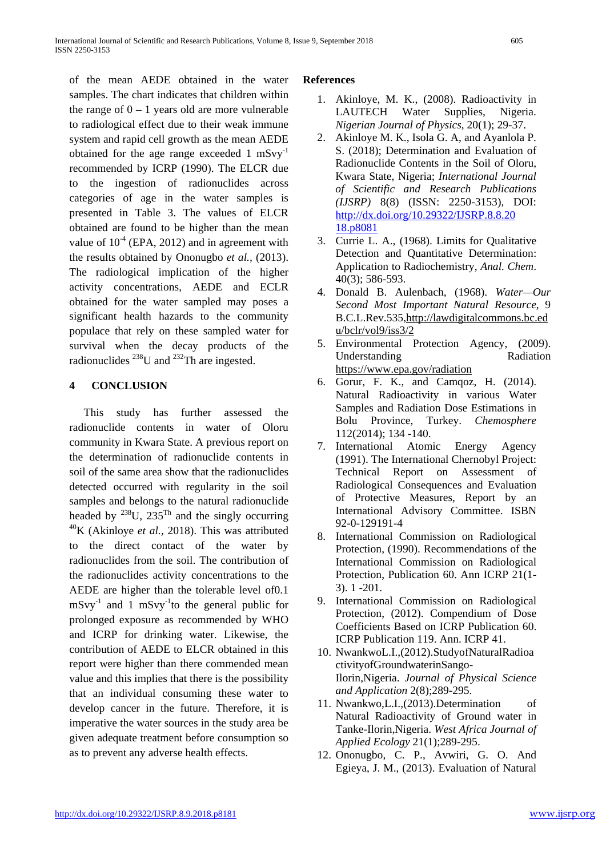of the mean AEDE obtained in the water samples. The chart indicates that children within the range of  $0 - 1$  years old are more vulnerable to radiological effect due to their weak immune system and rapid cell growth as the mean AEDE obtained for the age range exceeded 1 mSvy<sup>-1</sup> recommended by ICRP (1990). The ELCR due to the ingestion of radionuclides across categories of age in the water samples is presented in Table 3. The values of ELCR obtained are found to be higher than the mean value of  $10^{-4}$  (EPA, 2012) and in agreement with the results obtained by Ononugbo *et al.,* (2013). The radiological implication of the higher activity concentrations, AEDE and ECLR obtained for the water sampled may poses a significant health hazards to the community populace that rely on these sampled water for survival when the decay products of the radionuclides  $^{238}$ U and  $^{232}$ Th are ingested.

# **4 CONCLUSION**

This study has further assessed the radionuclide contents in water of Oloru community in Kwara State. A previous report on the determination of radionuclide contents in soil of the same area show that the radionuclides detected occurred with regularity in the soil samples and belongs to the natural radionuclide headed by  $^{238}$ U,  $235$ <sup>Th</sup> and the singly occurring 40K (Akinloye *et al.,* 2018). This was attributed to the direct contact of the water by radionuclides from the soil. The contribution of the radionuclides activity concentrations to the AEDE are higher than the tolerable level of0.1  $mSvy^{-1}$  and 1 mSvy<sup>-1</sup>to the general public for prolonged exposure as recommended by WHO and ICRP for drinking water. Likewise, the contribution of AEDE to ELCR obtained in this report were higher than there commended mean value and this implies that there is the possibility that an individual consuming these water to develop cancer in the future. Therefore, it is imperative the water sources in the study area be given adequate treatment before consumption so as to prevent any adverse health effects.

## **References**

- 1. Akinloye, M. K., (2008). Radioactivity in LAUTECH Water Supplies, Nigeria. *Nigerian Journal of Physics*, 20(1); 29-37.
- 2. Akinloye M. K., Isola G. A, and Ayanlola P. S. (2018); Determination and Evaluation of Radionuclide Contents in the Soil of Oloru, Kwara State, Nigeria; *International Journal of Scientific and Research Publications (IJSRP)* 8(8) (ISSN: 2250-3153), DOI: [http://dx.doi.org/10.29322/IJSRP.8.8.20](http://dx.doi.org/10.29322/IJSRP.8.8.20%2018.p8081)  [18.p8081](http://dx.doi.org/10.29322/IJSRP.8.8.20%2018.p8081)
- 3. Currie L. A., (1968). Limits for Qualitative Detection and Quantitative Determination: Application to Radiochemistry, *Anal. Chem*. 40(3); 586-593.
- 4. Donald B. Aulenbach, (1968). *Water—Our Second Most Important Natural Resource*, 9 B.C.L.Rev.535,http://lawdigitalcommons.bc.ed u/bclr/vol9/iss3/2
- 5. Environmental Protection Agency, (2009). Understanding Radiation http[s://ww](http://www.epa.gov/radiation)w[.epa.gov/radiation](http://www.epa.gov/radiation)
- 6. Gorur, F. K., and Camqoz, H. (2014). Natural Radioactivity in various Water Samples and Radiation Dose Estimations in Bolu Province, Turkey. *Chemosphere* 112(2014); 134 -140.
- 7. International Atomic Energy Agency (1991). The International Chernobyl Project: Technical Report on Assessment of Radiological Consequences and Evaluation of Protective Measures, Report by an International Advisory Committee. ISBN 92-0-129191-4
- 8. International Commission on Radiological Protection, (1990). Recommendations of the International Commission on Radiological Protection, Publication 60. Ann ICRP 21(1- 3). 1 -201.
- 9. International Commission on Radiological Protection, (2012). Compendium of Dose Coefficients Based on ICRP Publication 60. ICRP Publication 119. Ann. ICRP 41.
- 10. NwankwoL.I.,(2012).StudyofNaturalRadioa ctivityofGroundwaterinSango-Ilorin,Nigeria. *Journal of Physical Science and Application* 2(8);289-295.
- 11. Nwankwo,L.I.,(2013).Determination of Natural Radioactivity of Ground water in Tanke-Ilorin,Nigeria. *West Africa Journal of Applied Ecology* 21(1);289-295.
- 12. Ononugbo, C. P., Avwiri, G. O. And Egieya, J. M., (2013). Evaluation of Natural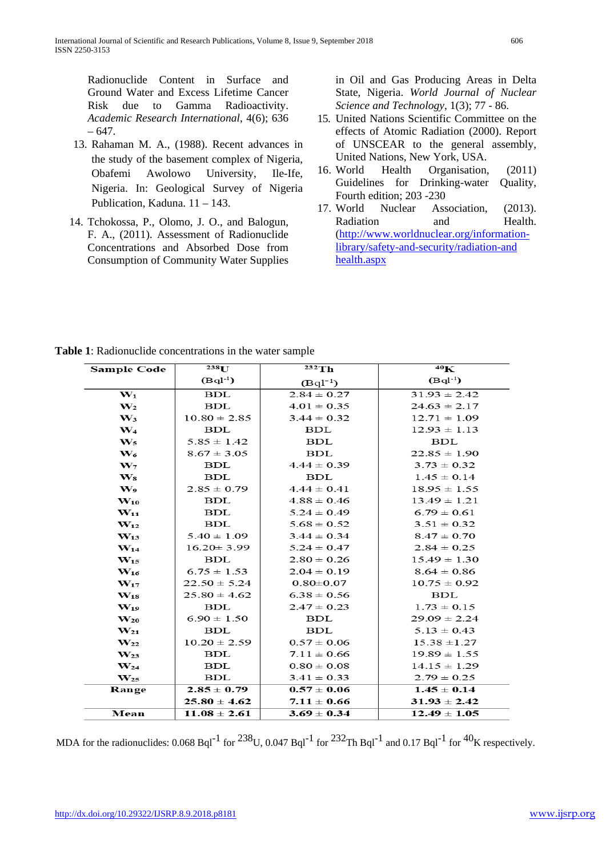Radionuclide Content in Surface and Ground Water and Excess Lifetime Cancer Risk due to Gamma Radioactivity. *Academic Research International*, 4(6); 636 – 647.

- 13. Rahaman M. A., (1988). Recent advances in the study of the basement complex of Nigeria, Obafemi Awolowo University, Ile-Ife, Nigeria. In: Geological Survey of Nigeria Publication, Kaduna. 11 – 143.
- 14. Tchokossa, P., Olomo, J. O., and Balogun, F. A., (2011). Assessment of Radionuclide Concentrations and Absorbed Dose from Consumption of Community Water Supplies

in Oil and Gas Producing Areas in Delta State, Nigeria. *World Journal of Nuclear Science and Technology*, 1(3); 77 - 86.

- 15. United Nations Scientific Committee on the effects of Atomic Radiation (2000). Report of UNSCEAR to the general assembly, United Nations, New York, USA.
- 16. World Health Organisation, (2011) Guidelines for Drinking-water Quality, Fourth edition; 203 -230
- 17. World Nuclear Association, (2013). Radiation and Health. [\(http://www.worldnuclear.org/information](http://www.worldnuclear.org/information-library/safety-and-security/radiation-and%20health.aspx)[library/safety-and-security/radiation-and](http://www.worldnuclear.org/information-library/safety-and-security/radiation-and%20health.aspx)  [health.aspx](http://www.worldnuclear.org/information-library/safety-and-security/radiation-and%20health.aspx)

| <b>Sample Code</b>         | 238 <sub>U</sub> | $232$ Th        | $40\mathrm{K}$   |
|----------------------------|------------------|-----------------|------------------|
|                            | $(Bql^{-1})$     | $(Bq1^{-})$     | $(Bq1^{-1})$     |
| $\mathbf{W}_1$             | <b>BDL</b>       | $2.84 \pm 0.27$ | $31.93 \pm 2.42$ |
| $\mathbf{W}_2$             | <b>BDL</b>       | $4.01 \pm 0.35$ | $24.63 \pm 2.17$ |
| $\mathbf{W}_3$             | $10.80 \pm 2.85$ | $3.44 \pm 0.32$ | $12.71 \pm 1.09$ |
| $\mathbf{W}_4$             | <b>BDL</b>       | <b>BDL</b>      | $12.93 \pm 1.13$ |
| $\mathbf{W}_5$             | $5.85 \pm 1.42$  | <b>BDL</b>      | <b>BDL</b>       |
| $\mathbf{W}_6$             | $8.67 \pm 3.05$  | <b>BDL</b>      | $22.85 \pm 1.90$ |
| $\mathbf{W}_{7}$           | <b>BDL</b>       | $4.44 \pm 0.39$ | $3.73 \pm 0.32$  |
| $\bf W_8$                  | <b>BDL</b>       | <b>BDL</b>      | $1.45 \pm 0.14$  |
| W <sub>9</sub>             | $2.85 \pm 0.79$  | $4.44 \pm 0.41$ | $18.95 \pm 1.55$ |
| $\mathbf{W}_{\mathbf{10}}$ | <b>BDL</b>       | $4.88 \pm 0.46$ | $13.49 \pm 1.21$ |
| $W_{11}$                   | <b>BDL</b>       | $5.24 \pm 0.49$ | $6.79 \pm 0.61$  |
| $\mathbf{W}_{12}$          | <b>BDL</b>       | $5.68 \pm 0.52$ | $3.51 \pm 0.32$  |
| $W_{13}$                   | $5.40 \pm 1.09$  | $3.44 \pm 0.34$ | $8.47 \pm 0.70$  |
| $\mathbf{W}_{14}$          | $16.20 \pm 3.99$ | $5.24 \pm 0.47$ | $2.84 \pm 0.25$  |
| $W_{15}$                   | BDL.             | $2.80 \pm 0.26$ | $15.49 \pm 1.30$ |
| $\mathbf{W}_{16}$          | $6.75 \pm 1.53$  | $2.04 \pm 0.19$ | $8.64 \pm 0.86$  |
| $\mathbf{W}_{17}$          | $22.50 \pm 5.24$ | $0.80 \pm 0.07$ | $10.75 \pm 0.92$ |
| $\mathbf{W}_{18}$          | $25.80 \pm 4.62$ | $6.38 \pm 0.56$ | <b>BDL</b>       |
| $\mathbf{W}_{19}$          | <b>BDL</b>       | $2.47 \pm 0.23$ | $1.73 \pm 0.15$  |
| $\mathbf{W}_{\mathbf{20}}$ | $6.90 \pm 1.50$  | <b>BDL</b>      | $29.09 \pm 2.24$ |
| $\mathbf{W}_{21}$          | <b>BDL</b>       | <b>BDL</b>      | $5.13 \pm 0.43$  |
| $\mathbf{W}_{22}$          | $10.20 \pm 2.59$ | $0.57 \pm 0.06$ | $15.38 \pm 1.27$ |
| $\mathbf{W}_{23}$          | <b>BDL</b>       | $7.11 \pm 0.66$ | $19.89 \pm 1.55$ |
| $\mathbf{W}_{24}$          | <b>BDL</b>       | $0.80 \pm 0.08$ | $14.15 \pm 1.29$ |
| $\mathbf{W}_{25}$          | <b>BDL</b>       | $3.41 \pm 0.33$ | $2.79 \pm 0.25$  |
| Range                      | $2.85 \pm 0.79$  | $0.57 \pm 0.06$ | $1.45 \pm 0.14$  |
|                            | $25.80 \pm 4.62$ | $7.11 \pm 0.66$ | $31.93 \pm 2.42$ |
| Mean                       | $11.08 \pm 2.61$ | $3.69 \pm 0.34$ | $12.49 \pm 1.05$ |

**Table 1**: Radionuclide concentrations in the water sample

MDA for the radionuclides:  $0.068$  Bql<sup>-1</sup> for <sup>238</sup>U,  $0.047$  Bql<sup>-1</sup> for <sup>232</sup>Th Bql<sup>-1</sup> and  $0.17$  Bql<sup>-1</sup> for <sup>40</sup>K respectively.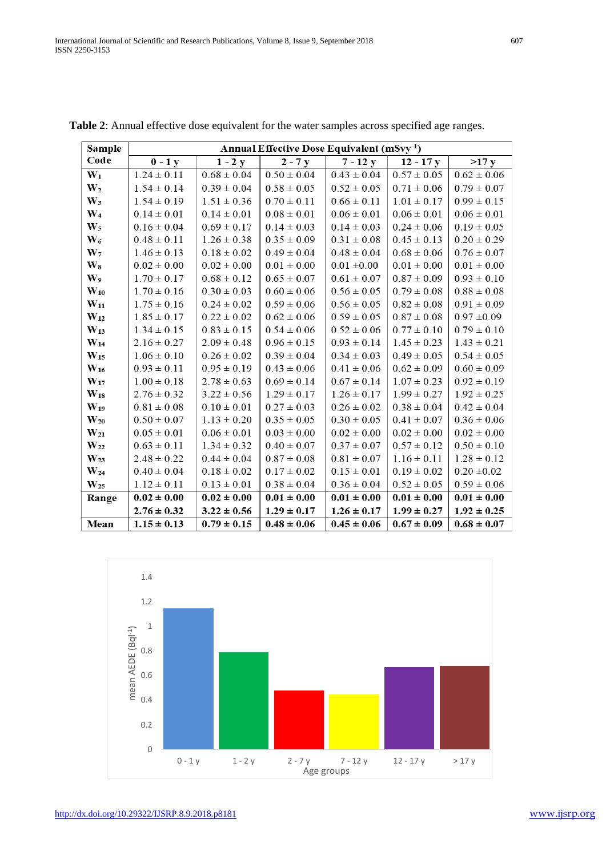| <b>Sample</b>     | Annual Effective Dose Equivalent (mSvy <sup>-1</sup> ) |                 |                 |                 |                 |                 |  |
|-------------------|--------------------------------------------------------|-----------------|-----------------|-----------------|-----------------|-----------------|--|
| Code              | $0 - 1 y$                                              | $1 - 2y$        | $2 - 7y$        | $7 - 12y$       | $12 - 17y$      | >17 y           |  |
| $W_1$             | $1.24 \pm 0.11$                                        | $0.68 \pm 0.04$ | $0.50 \pm 0.04$ | $0.43 \pm 0.04$ | $0.57 \pm 0.05$ | $0.62 \pm 0.06$ |  |
| W <sub>2</sub>    | $1.54 \pm 0.14$                                        | $0.39 \pm 0.04$ | $0.58 \pm 0.05$ | $0.52 \pm 0.05$ | $0.71 \pm 0.06$ | $0.79 \pm 0.07$ |  |
| $\mathbf{W}_3$    | $1.54 \pm 0.19$                                        | $1.51 \pm 0.36$ | $0.70 \pm 0.11$ | $0.66 \pm 0.11$ | $1.01 \pm 0.17$ | $0.99 \pm 0.15$ |  |
| $\mathbf{W}_4$    | $0.14 \pm 0.01$                                        | $0.14 \pm 0.01$ | $0.08 \pm 0.01$ | $0.06 \pm 0.01$ | $0.06 \pm 0.01$ | $0.06 \pm 0.01$ |  |
| $W_5$             | $0.16 \pm 0.04$                                        | $0.69 \pm 0.17$ | $0.14 \pm 0.03$ | $0.14 \pm 0.03$ | $0.24 \pm 0.06$ | $0.19 \pm 0.05$ |  |
| $\mathbf{W}_6$    | $0.48 \pm 0.11$                                        | $1.26 \pm 0.38$ | $0.35 \pm 0.09$ | $0.31 \pm 0.08$ | $0.45 \pm 0.13$ | $0.20 \pm 0.29$ |  |
| $W_7$             | $1.46 \pm 0.13$                                        | $0.18 \pm 0.02$ | $0.49 \pm 0.04$ | $0.48 \pm 0.04$ | $0.68 \pm 0.06$ | $0.76 \pm 0.07$ |  |
| $\bf W_8$         | $0.02 \pm 0.00$                                        | $0.02 \pm 0.00$ | $0.01 \pm 0.00$ | $0.01 \pm 0.00$ | $0.01 \pm 0.00$ | $0.01 \pm 0.00$ |  |
| W <sub>9</sub>    | $1.70 \pm 0.17$                                        | $0.68 \pm 0.12$ | $0.65 \pm 0.07$ | $0.61\pm0.07$   | $0.87 \pm 0.09$ | $0.93 \pm 0.10$ |  |
| $W_{10}$          | $1.70 \pm 0.16$                                        | $0.30 \pm 0.03$ | $0.60 \pm 0.06$ | $0.56 \pm 0.05$ | $0.79 \pm 0.08$ | $0.88 \pm 0.08$ |  |
| $\rm W_{11}$      | $1.75 \pm 0.16$                                        | $0.24 \pm 0.02$ | $0.59 \pm 0.06$ | $0.56 \pm 0.05$ | $0.82 \pm 0.08$ | $0.91 \pm 0.09$ |  |
| $W_{12}$          | $1.85 \pm 0.17$                                        | $0.22 \pm 0.02$ | $0.62 \pm 0.06$ | $0.59 \pm 0.05$ | $0.87 \pm 0.08$ | $0.97 \pm 0.09$ |  |
| $W_{13}$          | $1.34 \pm 0.15$                                        | $0.83 \pm 0.15$ | $0.54 \pm 0.06$ | $0.52 \pm 0.06$ | $0.77 \pm 0.10$ | $0.79 \pm 0.10$ |  |
| $\bf W_{14}$      | $2.16 \pm 0.27$                                        | $2.09 \pm 0.48$ | $0.96 \pm 0.15$ | $0.93 \pm 0.14$ | $1.45 \pm 0.23$ | $1.43 \pm 0.21$ |  |
| $\rm W_{15}$      | $1.06 \pm 0.10$                                        | $0.26 \pm 0.02$ | $0.39 \pm 0.04$ | $0.34 \pm 0.03$ | $0.49 \pm 0.05$ | $0.54 \pm 0.05$ |  |
| $W_{16}$          | $0.93 \pm 0.11$                                        | $0.95 \pm 0.19$ | $0.43 \pm 0.06$ | $0.41 \pm 0.06$ | $0.62 \pm 0.09$ | $0.60 \pm 0.09$ |  |
| $\mathbf{W_{17}}$ | $1.00\pm0.18$                                          | $2.78 \pm 0.63$ | $0.69 \pm 0.14$ | $0.67 \pm 0.14$ | $1.07 \pm 0.23$ | $0.92 \pm 0.19$ |  |
| $\mathbf{W_{18}}$ | $2.76 \pm 0.32$                                        | $3.22 \pm 0.56$ | $1.29 \pm 0.17$ | $1.26 \pm 0.17$ | $1.99 \pm 0.27$ | $1.92 \pm 0.25$ |  |
| $W_{19}$          | $0.81 \pm 0.08$                                        | $0.10 \pm 0.01$ | $0.27 \pm 0.03$ | $0.26 \pm 0.02$ | $0.38 \pm 0.04$ | $0.42 \pm 0.04$ |  |
| $\rm{W_{20}}$     | $0.50 \pm 0.07$                                        | $1.13 \pm 0.20$ | $0.35 \pm 0.05$ | $0.30 \pm 0.05$ | $0.41 \pm 0.07$ | $0.36 \pm 0.06$ |  |
| $\rm{W_{21}}$     | $0.05 \pm 0.01$                                        | $0.06 \pm 0.01$ | $0.03 \pm 0.00$ | $0.02 \pm 0.00$ | $0.02 \pm 0.00$ | $0.02 \pm 0.00$ |  |
| $W_{22}$          | $0.63 \pm 0.11$                                        | $1.34 \pm 0.32$ | $0.40 \pm 0.07$ | $0.37 \pm 0.07$ | $0.57\pm0.12$   | $0.50 \pm 0.10$ |  |
| $W_{23}$          | $2.48 \pm 0.22$                                        | $0.44 \pm 0.04$ | $0.87 \pm 0.08$ | $0.81 \pm 0.07$ | $1.16 \pm 0.11$ | $1.28 \pm 0.12$ |  |
| $\rm{W_{24}}$     | $0.40 \pm 0.04$                                        | $0.18 \pm 0.02$ | $0.17 \pm 0.02$ | $0.15 \pm 0.01$ | $0.19 \pm 0.02$ | $0.20 \pm 0.02$ |  |
| $W_{25}$          | $1.12 \pm 0.11$                                        | $0.13 \pm 0.01$ | $0.38 \pm 0.04$ | $0.36 \pm 0.04$ | $0.52 \pm 0.05$ | $0.59 \pm 0.06$ |  |
| Range             | $0.02 \pm 0.00$                                        | $0.02 \pm 0.00$ | $0.01 \pm 0.00$ | $0.01 \pm 0.00$ | $0.01 \pm 0.00$ | $0.01 \pm 0.00$ |  |
|                   | $2.76 \pm 0.32$                                        | $3.22 \pm 0.56$ | $1.29 \pm 0.17$ | $1.26 \pm 0.17$ | $1.99 \pm 0.27$ | $1.92 \pm 0.25$ |  |
| Mean              | $1.15 \pm 0.13$                                        | $0.79 \pm 0.15$ | $0.48 \pm 0.06$ | $0.45 \pm 0.06$ | $0.67 \pm 0.09$ | $0.68 \pm 0.07$ |  |

**Table 2**: Annual effective dose equivalent for the water samples across specified age ranges.